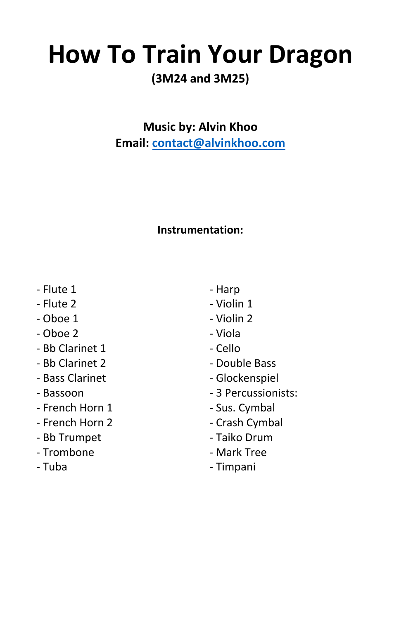# **How To Train Your Dragon**

### **(3M24 and 3M25)**

**Music by: Alvin Khoo** Email: contact@alvinkhoo.com

### **Instrumentation:**

- Flute 1
- Flute 2
- Oboe 1
- Oboe 2
- Bb Clarinet 1
- Bb Clarinet 2
- Bass Clarinet
- Bassoon
- French Horn 1
- French Horn 2
- Bb Trumpet
- Trombone

- Tuba

- Harp
- Violin 1
- Violin 2
- Viola
- Cello
- Double Bass
- Glockenspiel
- 3 Percussionists:
- Sus. Cymbal
- Crash Cymbal
- Taiko Drum
- Mark Tree

- Timpani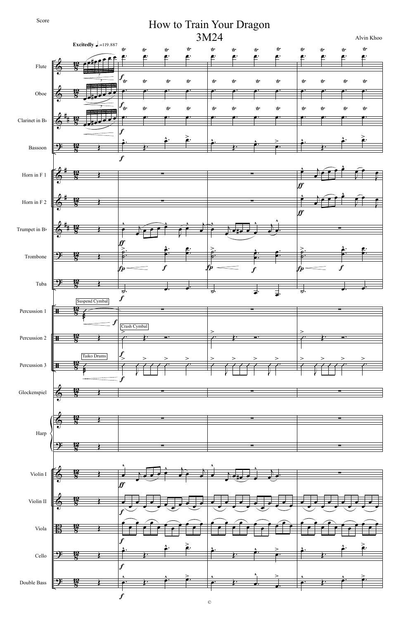



## How to Train Your Dragon

©

### Score